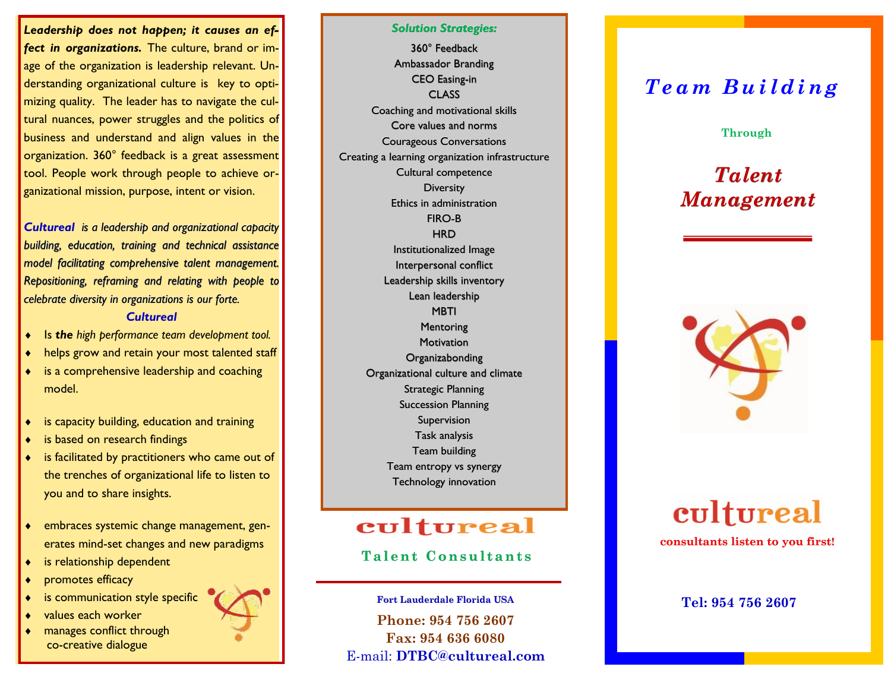*Leadership does not happen; it causes an effect in organizations.* The culture, brand or image of the organization is leadership relevant. Understanding organizational culture is key to optimizing quality. The leader has to navigate the cultural nuances, power struggles and the politics of business and understand and align values in the organization. 360° feedback is a great assessment tool. People work through people to achieve organizational mission, purpose, intent or vision.

*Cultureal is a leadership and organizational capacity building, education, training and technical assistance model facilitating comprehensive talent management. Repositioning, reframing and relating with people to celebrate diversity in organizations is our forte.* 

#### *Cultureal*

- Is *the high performance team development tool.*
- helps grow and retain your most talented staff
- is a comprehensive leadership and coaching model.
- is capacity building, education and training
- is based on research findings
- is facilitated by practitioners who came out of the trenches of organizational life to listen to you and to share insights.
- embraces systemic change management, generates mind-set changes and new paradigms
- is relationship dependent
- promotes efficacy
- is communication style specific
- values each worker
- manages conflict through co-creative dialogue



*Solution Strategies:* 360° Feedback Ambassador Branding CEO Easing-in **CLASS** Coaching and motivational skills Core values and norms Courageous Conversations Creating a learning organization infrastructure Cultural competence **Diversity** Ethics in administration FIRO-B **HRD** Institutionalized Image Interpersonal conflict Leadership skills inventory Lean leadership MBTI **Mentoring Motivation Organizabonding** Organizational culture and climate Strategic Planning Succession Planning Supervision Task analysis Team building Team entropy vs synergy Technology innovation

## cultureal

## **Talent Consultants**

**Phone: 954 756 2607 Fax: 954 636 6080** E-mail: **DTBC@cultureal.com Fort Lauderdale Florida USA**

## *T e a m B u i l d i n g*

#### **Through**

# *Talent Management*



# cultureal **consultants listen to you first!**

### **Tel: 954 756 2607**